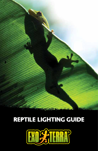

# Reptile lighting guide

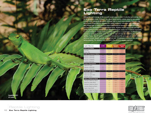### **Exo Terra Reptile Lighting**

Without the sun's energy, all life on earth would cease to exist. It is by the sun's energy that all life forces are driven. Without it, our planet would quickly radiate away its own energy in short order, making all life extinct. Although light is much more complex, there are only three facets of light that are important for reptile husbandry: ultraviolet light, visible light and infrared light. In order to create these three biological aspects of sunlight artificially, Exo Terra has developed several specialized lights. Reptiles require appropriate and high quality lighting in order to meet certain different metabolic needs. As it is almost impossible to accommodate all of these needs in a single light source, a combination of different light sources is necessary in most cases. The table at right will help you in making the right lighting choice. Not all reptiles or terrarium animals need the same amount of UVB radiation nocturnal versus daylight activity, geographical and climatological conditions (ex: rainforests versus deserts). The distance from the bulb to the animal is equally important.

| <b>Light Source</b>             | <b>UVB</b> | <b>Reptile</b><br>Vision | <b>Human</b><br>Vision | <b>Infrared</b><br><b>Heat</b> |  |
|---------------------------------|------------|--------------------------|------------------------|--------------------------------|--|
| <b>All-in-one Bulbs</b>         |            |                          |                        |                                |  |
| Sunray                          | *****      | *****                    | *****                  | ****                           |  |
| Solar Glo                       | *****      | 8888                     | 8888                   | ****                           |  |
| <b>UVB Fluorescent Bulbs</b>    |            |                          |                        |                                |  |
| Reptile UVB100                  | ***        | ****                     | ****                   | 葵                              |  |
| Reptile UVB150                  | ****       | ****                     | ****                   | 葵                              |  |
| Reptile UVB200                  | *****      | ****                     | ****                   | 县                              |  |
| Turtle UVB Bulb                 | ***        | ****                     | ****                   | 8                              |  |
| <b>Linear Fluorescent</b>       |            |                          |                        |                                |  |
| Natural Light                   |            | ****                     | *****                  | 8                              |  |
| Reptile UVB100                  | ***        | ****                     | ****                   | 县                              |  |
| Reptile UVB150                  | ****       | ****                     | ****                   | 葵                              |  |
| <b>Visual Light Bulbs</b>       |            |                          |                        |                                |  |
| Natural Light                   |            | ****                     | *****                  | 8                              |  |
| Natural Light ION               |            | ****                     | *****                  | B.                             |  |
| Reptile Vision                  |            | *****                    | 8888                   | 8                              |  |
| <b>Heat &amp; Basking Bulbs</b> |            |                          |                        |                                |  |
| Halogen Basking Spot            |            | ***                      | 8888                   | ****                           |  |
| Daytime Heat Bulb               |            | 茶茶                       | ***                    | ***                            |  |
| Daylight Basking Spot           |            | ***                      | ***                    | ****                           |  |
| Intense Basking Spot            |            | **                       | ***                    | ****                           |  |
| Night Heat Bulb                 |            | ö.                       | a.                     | 888                            |  |
| Infrared Basking Spot           |            | ڿ                        | 葵                      | *****                          |  |
| Swamp Basking Spot              |            | **                       | ***                    | ****                           |  |
|                                 |            |                          |                        |                                |  |





Reptile Lighting **Exo Terra Reptile Lighting**  $10$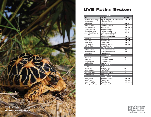

## **UVB Rating System**

| <b>LIZARDS</b>                  |                                        |                  |  |  |
|---------------------------------|----------------------------------------|------------------|--|--|
| <b>NAME</b>                     | <b>LATIN NAME</b>                      | <b>UV RATING</b> |  |  |
| Bearded & Rankin's Dragon       | Pogona vitticeps & Pogona henrylawsoni | *****            |  |  |
| Leopard Gecko                   | Eublepharis macularius                 |                  |  |  |
| Green Iquana                    | Iquana iquana                          | ***              |  |  |
| <b>Veiled Chameleon</b>         | Chamaeleo calyptratus                  | ***              |  |  |
| Spiny-tailed lizards            | Uromastyx spec.                        | *****            |  |  |
| Panther Chameleon               | Chamaeleo pardalis                     | ***              |  |  |
| Chinese Water Dragon            | Physignathus cocincinus                | ***              |  |  |
| Anoles (Green & Bahama)         | Anolis carolinensis & sagrei           | ***              |  |  |
| <b>Crested Geckos</b>           | Rhacodactylus ciliates &               |                  |  |  |
|                                 | Rhacodactylus auriculatus              | ***              |  |  |
| Day Geckos                      | Phelsuma spec.                         | ****             |  |  |
| <b>Collard Lizard</b>           | Crotaphytus collaris                   | ****             |  |  |
| <b>Steppe Runner</b>            | Eremias arquta                         | ***              |  |  |
| Long-tailed Lizard              | Takydromus sexlineatus                 | ****             |  |  |
| Curly Tail Lizard               | Leiocepahlus spec.                     |                  |  |  |
|                                 | <b>AQUATIC TURTLES</b>                 |                  |  |  |
| <b>Red-eared Sliders</b>        | Trachemys scripta elegans              | **               |  |  |
| <b>Yellow Bellied Slider</b>    | Trachemys scripta scripta              | **               |  |  |
| <b>Painted Turtle</b>           | Chrysemys picta                        |                  |  |  |
|                                 | <b>SNAKES</b>                          |                  |  |  |
| <b>Ball Python</b>              | Python regius                          | ☀                |  |  |
| Corn Snake                      | Pantherophis guttatus                  | ₩                |  |  |
| King & Milk Snake               | Lampropeltis spec.                     |                  |  |  |
| <b>Boa Constrictor</b>          | Boa constrictor                        |                  |  |  |
|                                 | <b>AMPHIBIANS</b>                      |                  |  |  |
| <b>Fire Belly Toads</b>         | Bombina orientalis                     |                  |  |  |
| PacMan Frog                     | Ceratophrys spec.                      | ₩                |  |  |
| White's Treefrogs               | Litoria caerulea                       | ☀                |  |  |
| <b>Monkey Tree Frogs</b>        | ☀<br>Phyllomedusa sauvagii             |                  |  |  |
| Poison Dart Frogs               | Dendrobatidae                          |                  |  |  |
|                                 | <b>TORTOISES</b>                       |                  |  |  |
| <b>Russian Tortoise</b>         | Agrionemys horsfieldii                 | ****             |  |  |
| <b>Greek Tortoise</b>           | <b>Testudo Graeca</b>                  | ****             |  |  |
| Hermann's Tortoise              | Testudo hermanni                       | *****            |  |  |
| <b>African Spurred Tortoise</b> | Geochelone sulcata                     |                  |  |  |